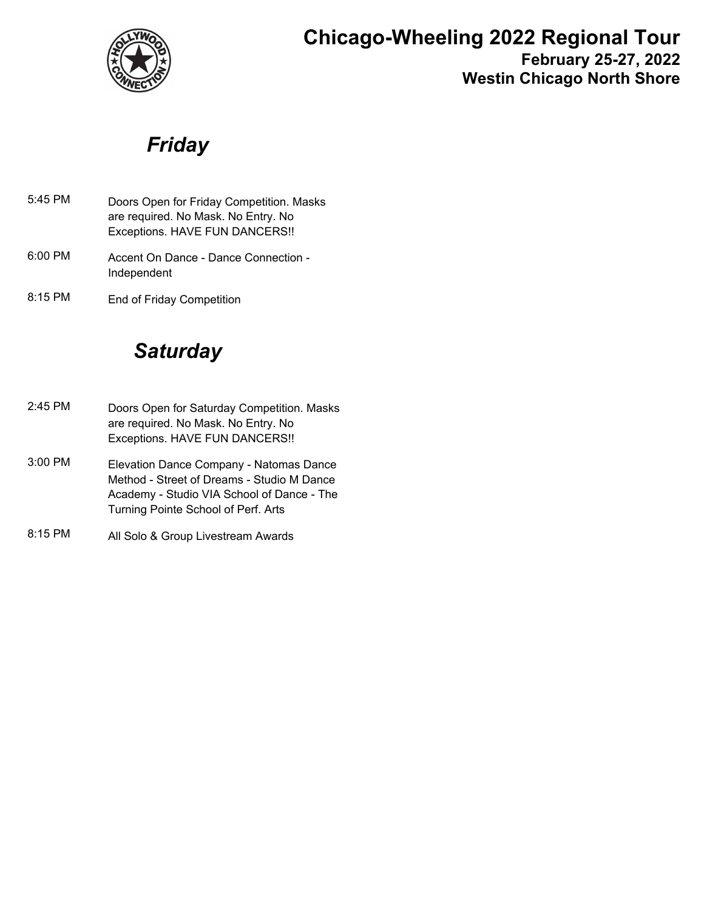

## **Chicago-Wheeling 2022 Regional Tour February 25-27, 2022 Westin Chicago North Shore**

*Friday*

- Doors Open for Friday Competition. Masks are required. No Mask. No Entry. No Exceptions. HAVE FUN DANCERS!! 5:45 PM
- Accent On Dance Dance Connection Independent 6:00 PM
- 8:15 PM End of Friday Competition

# *Saturday*

- Doors Open for Saturday Competition. Masks are required. No Mask. No Entry. No Exceptions. HAVE FUN DANCERS!! 2:45 PM
- Elevation Dance Company Natomas Dance Method - Street of Dreams - Studio M Dance Academy - Studio VIA School of Dance - The Turning Pointe School of Perf. Arts 3:00 PM
- 8:15 PM All Solo & Group Livestream Awards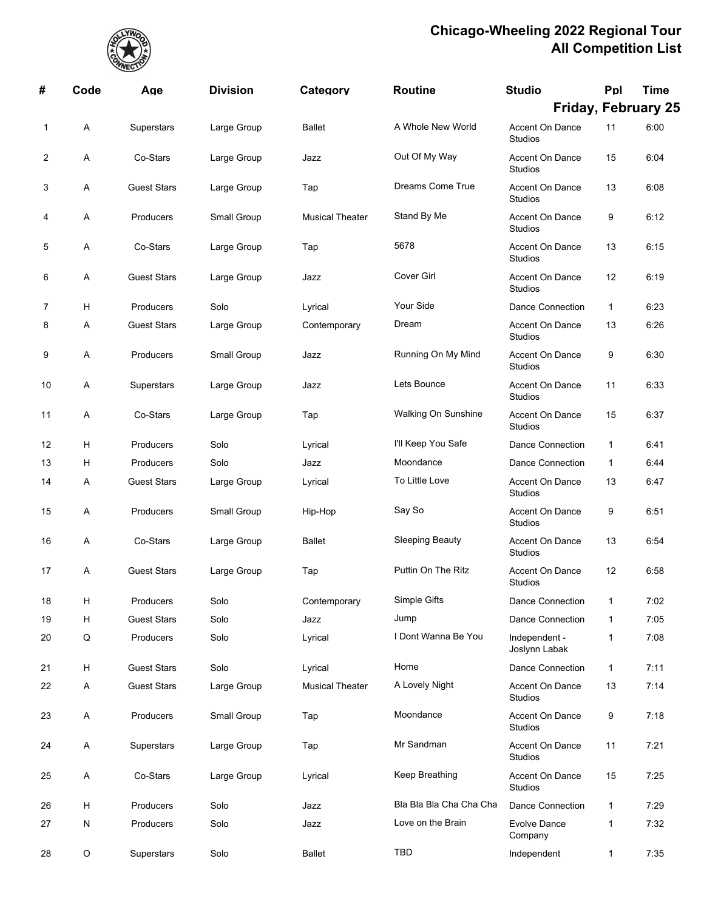

| #  | Code        | Age                | <b>Division</b> | Category               | <b>Routine</b>          | <b>Studio</b>                            | Ppl          | <b>Time</b>                |
|----|-------------|--------------------|-----------------|------------------------|-------------------------|------------------------------------------|--------------|----------------------------|
|    |             |                    |                 |                        |                         |                                          |              | <b>Friday, February 25</b> |
| 1  | A           | Superstars         | Large Group     | <b>Ballet</b>          | A Whole New World       | Accent On Dance<br><b>Studios</b>        | 11           | 6:00                       |
| 2  | Α           | Co-Stars           | Large Group     | Jazz                   | Out Of My Way           | <b>Accent On Dance</b><br><b>Studios</b> | 15           | 6:04                       |
| 3  | Α           | <b>Guest Stars</b> | Large Group     | Tap                    | Dreams Come True        | Accent On Dance<br><b>Studios</b>        | 13           | 6:08                       |
| 4  | Α           | Producers          | Small Group     | <b>Musical Theater</b> | Stand By Me             | Accent On Dance<br><b>Studios</b>        | 9            | 6:12                       |
| 5  | A           | Co-Stars           | Large Group     | Tap                    | 5678                    | <b>Accent On Dance</b><br><b>Studios</b> | 13           | 6:15                       |
| 6  | Α           | <b>Guest Stars</b> | Large Group     | Jazz                   | Cover Girl              | Accent On Dance<br>Studios               | 12           | 6:19                       |
| 7  | н           | Producers          | Solo            | Lyrical                | Your Side               | Dance Connection                         | $\mathbf{1}$ | 6:23                       |
| 8  | Α           | <b>Guest Stars</b> | Large Group     | Contemporary           | Dream                   | Accent On Dance<br><b>Studios</b>        | 13           | 6:26                       |
| 9  | Α           | Producers          | Small Group     | Jazz                   | Running On My Mind      | Accent On Dance<br><b>Studios</b>        | 9            | 6:30                       |
| 10 | Α           | Superstars         | Large Group     | Jazz                   | Lets Bounce             | Accent On Dance<br><b>Studios</b>        | 11           | 6:33                       |
| 11 | Α           | Co-Stars           | Large Group     | Tap                    | Walking On Sunshine     | Accent On Dance<br><b>Studios</b>        | 15           | 6:37                       |
| 12 | н           | Producers          | Solo            | Lyrical                | I'll Keep You Safe      | <b>Dance Connection</b>                  | 1            | 6:41                       |
| 13 | H           | Producers          | Solo            | Jazz                   | Moondance               | <b>Dance Connection</b>                  | 1            | 6:44                       |
| 14 | Α           | <b>Guest Stars</b> | Large Group     | Lyrical                | To Little Love          | Accent On Dance<br><b>Studios</b>        | 13           | 6:47                       |
| 15 | Α           | Producers          | Small Group     | Hip-Hop                | Say So                  | Accent On Dance<br>Studios               | 9            | 6:51                       |
| 16 | Α           | Co-Stars           | Large Group     | <b>Ballet</b>          | <b>Sleeping Beauty</b>  | Accent On Dance<br><b>Studios</b>        | 13           | 6:54                       |
| 17 | Α           | <b>Guest Stars</b> | Large Group     | Tap                    | Puttin On The Ritz      | Accent On Dance<br><b>Studios</b>        | 12           | 6:58                       |
| 18 | н           | Producers          | Solo            | Contemporary           | Simple Gifts            | <b>Dance Connection</b>                  | 1            | 7:02                       |
| 19 | H           | <b>Guest Stars</b> | Solo            | Jazz                   | Jump                    | Dance Connection                         | 1            | 7:05                       |
| 20 | $\sf Q$     | Producers          | Solo            | Lyrical                | I Dont Wanna Be You     | Independent -<br>Joslynn Labak           | 1            | 7:08                       |
| 21 | H           | <b>Guest Stars</b> | Solo            | Lyrical                | Home                    | Dance Connection                         | 1            | 7:11                       |
| 22 | A           | <b>Guest Stars</b> | Large Group     | <b>Musical Theater</b> | A Lovely Night          | Accent On Dance<br><b>Studios</b>        | 13           | 7:14                       |
| 23 | A           | Producers          | Small Group     | Tap                    | Moondance               | Accent On Dance<br><b>Studios</b>        | 9            | 7:18                       |
| 24 | A           | Superstars         | Large Group     | Tap                    | Mr Sandman              | Accent On Dance<br><b>Studios</b>        | 11           | 7:21                       |
| 25 | A           | Co-Stars           | Large Group     | Lyrical                | Keep Breathing          | Accent On Dance<br>Studios               | 15           | 7:25                       |
| 26 | H           | Producers          | Solo            | Jazz                   | Bla Bla Bla Cha Cha Cha | <b>Dance Connection</b>                  | 1            | 7:29                       |
| 27 | N           | Producers          | Solo            | Jazz                   | Love on the Brain       | <b>Evolve Dance</b><br>Company           | 1            | 7:32                       |
| 28 | $\mathsf O$ | Superstars         | Solo            | <b>Ballet</b>          | TBD                     | Independent                              | 1            | 7:35                       |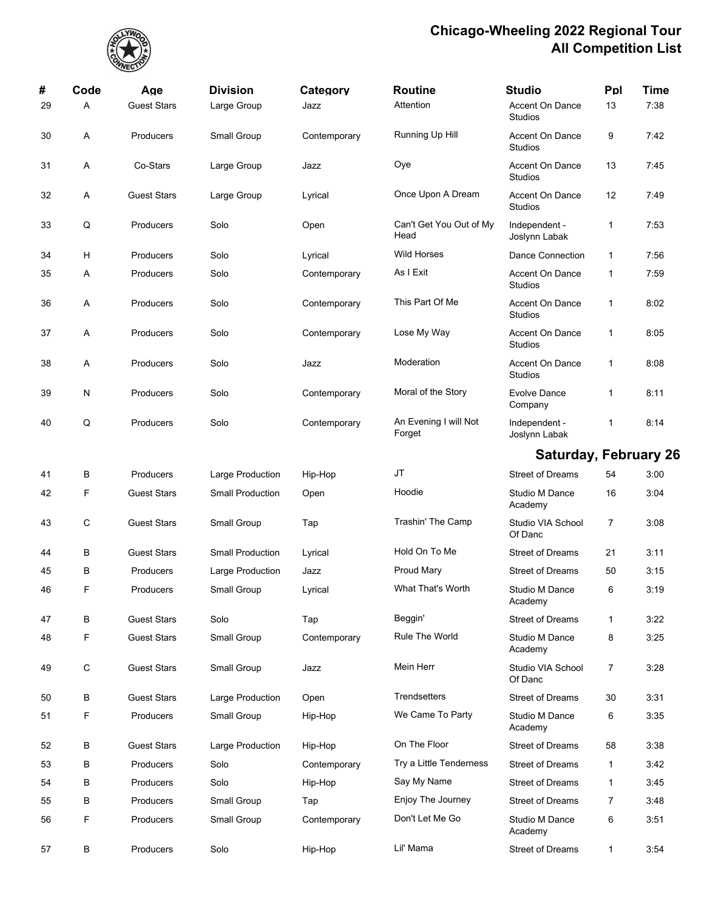

| #  | Code        | Age                | <b>Division</b>         | Category     | <b>Routine</b>                  | <b>Studio</b>                            | Ppl          | Time |
|----|-------------|--------------------|-------------------------|--------------|---------------------------------|------------------------------------------|--------------|------|
| 29 | A           | <b>Guest Stars</b> | Large Group             | Jazz         | Attention                       | <b>Accent On Dance</b><br>Studios        | 13           | 7:38 |
| 30 | Α           | Producers          | Small Group             | Contemporary | Running Up Hill                 | <b>Accent On Dance</b><br>Studios        | 9            | 7:42 |
| 31 | Α           | Co-Stars           | Large Group             | Jazz         | Oye                             | Accent On Dance<br>Studios               | 13           | 7:45 |
| 32 | Α           | <b>Guest Stars</b> | Large Group             | Lyrical      | Once Upon A Dream               | <b>Accent On Dance</b><br>Studios        | 12           | 7:49 |
| 33 | Q           | Producers          | Solo                    | Open         | Can't Get You Out of My<br>Head | Independent -<br>Joslynn Labak           | 1            | 7:53 |
| 34 | н           | Producers          | Solo                    | Lyrical      | <b>Wild Horses</b>              | Dance Connection                         | $\mathbf{1}$ | 7:56 |
| 35 | Α           | Producers          | Solo                    | Contemporary | As I Exit                       | <b>Accent On Dance</b><br>Studios        | 1            | 7:59 |
| 36 | Α           | Producers          | Solo                    | Contemporary | This Part Of Me                 | <b>Accent On Dance</b><br>Studios        | $\mathbf{1}$ | 8:02 |
| 37 | A           | Producers          | Solo                    | Contemporary | Lose My Way                     | <b>Accent On Dance</b><br>Studios        | 1            | 8:05 |
| 38 | Α           | Producers          | Solo                    | Jazz         | Moderation                      | <b>Accent On Dance</b><br><b>Studios</b> | 1            | 8:08 |
| 39 | N           | Producers          | Solo                    | Contemporary | Moral of the Story              | <b>Evolve Dance</b><br>Company           | 1            | 8:11 |
| 40 | Q           | Producers          | Solo                    | Contemporary | An Evening I will Not<br>Forget | Independent -<br>Joslynn Labak           | 1            | 8:14 |
|    |             |                    |                         |              |                                 | <b>Saturday, February 26</b>             |              |      |
| 41 | B           | Producers          | Large Production        | Hip-Hop      | JT                              | <b>Street of Dreams</b>                  | 54           | 3:00 |
| 42 | F           | <b>Guest Stars</b> | <b>Small Production</b> | Open         | Hoodie                          | Studio M Dance<br>Academy                | 16           | 3:04 |
| 43 | C           | <b>Guest Stars</b> | Small Group             | Tap          | Trashin' The Camp               | Studio VIA School<br>Of Danc             | 7            | 3:08 |
| 44 | B           | <b>Guest Stars</b> | <b>Small Production</b> | Lyrical      | Hold On To Me                   | <b>Street of Dreams</b>                  | 21           | 3:11 |
| 45 | B           | Producers          | Large Production        | Jazz         | <b>Proud Mary</b>               | <b>Street of Dreams</b>                  | 50           | 3:15 |
| 46 | F           | Producers          | Small Group             | Lyrical      | What That's Worth               | Studio M Dance<br>Academy                | 6            | 3:19 |
| 47 | B           | <b>Guest Stars</b> | Solo                    | Tap          | Beggin'                         | <b>Street of Dreams</b>                  | 1            | 3:22 |
| 48 | F           | <b>Guest Stars</b> | Small Group             | Contemporary | Rule The World                  | Studio M Dance<br>Academy                | 8            | 3:25 |
| 49 | $\mathsf C$ | <b>Guest Stars</b> | Small Group             | Jazz         | Mein Herr                       | Studio VIA School<br>Of Danc             | 7            | 3:28 |
| 50 | B           | <b>Guest Stars</b> | Large Production        | Open         | <b>Trendsetters</b>             | <b>Street of Dreams</b>                  | 30           | 3:31 |
| 51 | F           | Producers          | Small Group             | Hip-Hop      | We Came To Party                | Studio M Dance<br>Academy                | 6            | 3:35 |
| 52 | B           | <b>Guest Stars</b> | Large Production        | Hip-Hop      | On The Floor                    | <b>Street of Dreams</b>                  | 58           | 3:38 |
| 53 | B           | Producers          | Solo                    | Contemporary | Try a Little Tenderness         | <b>Street of Dreams</b>                  | $\mathbf{1}$ | 3:42 |
| 54 | В           | Producers          | Solo                    | Hip-Hop      | Say My Name                     | <b>Street of Dreams</b>                  | $\mathbf{1}$ | 3:45 |
| 55 | B           | Producers          | Small Group             | Tap          | Enjoy The Journey               | <b>Street of Dreams</b>                  | 7            | 3:48 |
| 56 | F           | Producers          | Small Group             | Contemporary | Don't Let Me Go                 | Studio M Dance<br>Academy                | 6            | 3:51 |
| 57 | B           | Producers          | Solo                    | Hip-Hop      | Lil' Mama                       | <b>Street of Dreams</b>                  | 1            | 3:54 |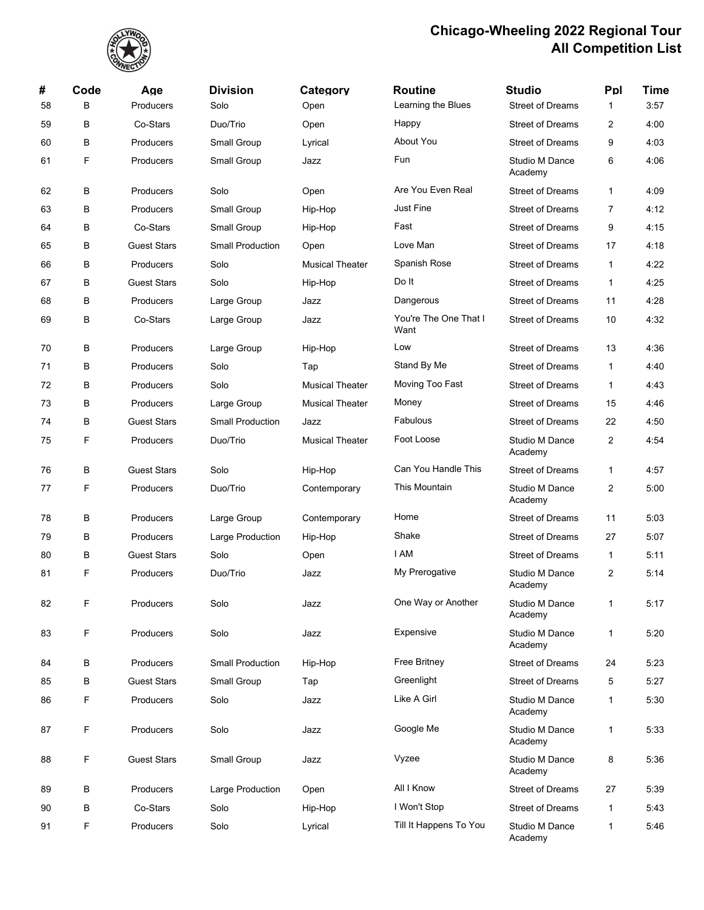

| #  | Code | Age                | <b>Division</b>         | Category               | <b>Routine</b>                | <b>Studio</b>                    | Ppl            | <b>Time</b> |
|----|------|--------------------|-------------------------|------------------------|-------------------------------|----------------------------------|----------------|-------------|
| 58 | В    | Producers          | Solo                    | Open                   | Learning the Blues            | <b>Street of Dreams</b>          | 1              | 3:57        |
| 59 | В    | Co-Stars           | Duo/Trio                | Open                   | Happy                         | <b>Street of Dreams</b>          | 2              | 4:00        |
| 60 | B    | Producers          | Small Group             | Lyrical                | About You                     | <b>Street of Dreams</b>          | 9              | 4:03        |
| 61 | F    | Producers          | Small Group             | Jazz                   | Fun                           | Studio M Dance<br>Academy        | 6              | 4:06        |
| 62 | B    | Producers          | Solo                    | Open                   | Are You Even Real             | <b>Street of Dreams</b>          | 1              | 4:09        |
| 63 | В    | Producers          | Small Group             | Hip-Hop                | Just Fine                     | <b>Street of Dreams</b>          | $\overline{7}$ | 4:12        |
| 64 | В    | Co-Stars           | Small Group             | Hip-Hop                | Fast                          | <b>Street of Dreams</b>          | 9              | 4:15        |
| 65 | B    | <b>Guest Stars</b> | <b>Small Production</b> | Open                   | Love Man                      | <b>Street of Dreams</b>          | 17             | 4:18        |
| 66 | В    | Producers          | Solo                    | <b>Musical Theater</b> | Spanish Rose                  | <b>Street of Dreams</b>          | $\mathbf{1}$   | 4:22        |
| 67 | В    | <b>Guest Stars</b> | Solo                    | Hip-Hop                | Do It                         | <b>Street of Dreams</b>          | 1              | 4:25        |
| 68 | B    | Producers          | Large Group             | Jazz                   | Dangerous                     | <b>Street of Dreams</b>          | 11             | 4:28        |
| 69 | В    | Co-Stars           | Large Group             | Jazz                   | You're The One That I<br>Want | <b>Street of Dreams</b>          | 10             | 4:32        |
| 70 | B    | Producers          | Large Group             | Hip-Hop                | Low                           | <b>Street of Dreams</b>          | 13             | 4:36        |
| 71 | В    | Producers          | Solo                    | Tap                    | Stand By Me                   | <b>Street of Dreams</b>          | 1              | 4:40        |
| 72 | В    | Producers          | Solo                    | <b>Musical Theater</b> | Moving Too Fast               | <b>Street of Dreams</b>          | 1              | 4:43        |
| 73 | В    | Producers          | Large Group             | <b>Musical Theater</b> | Money                         | <b>Street of Dreams</b>          | 15             | 4:46        |
| 74 | B    | <b>Guest Stars</b> | <b>Small Production</b> | Jazz                   | Fabulous                      | <b>Street of Dreams</b>          | 22             | 4:50        |
| 75 | F    | Producers          | Duo/Trio                | <b>Musical Theater</b> | Foot Loose                    | Studio M Dance<br>Academy        | 2              | 4:54        |
| 76 | В    | <b>Guest Stars</b> | Solo                    | Hip-Hop                | Can You Handle This           | <b>Street of Dreams</b>          | 1              | 4:57        |
| 77 | F    | Producers          | Duo/Trio                | Contemporary           | This Mountain                 | <b>Studio M Dance</b><br>Academy | 2              | 5:00        |
| 78 | B    | Producers          | Large Group             | Contemporary           | Home                          | <b>Street of Dreams</b>          | 11             | 5:03        |
| 79 | В    | Producers          | Large Production        | Hip-Hop                | Shake                         | <b>Street of Dreams</b>          | 27             | 5:07        |
| 80 | В    | <b>Guest Stars</b> | Solo                    | Open                   | I AM                          | <b>Street of Dreams</b>          | 1              | 5:11        |
| 81 | F    | Producers          | Duo/Trio                | Jazz                   | My Prerogative                | Studio M Dance<br>Academy        | 2              | 5:14        |
| 82 | F    | Producers          | Solo                    | Jazz                   | One Way or Another            | Studio M Dance<br>Academy        | 1              | 5:17        |
| 83 | F    | Producers          | Solo                    | Jazz                   | Expensive                     | Studio M Dance<br>Academy        | 1              | 5:20        |
| 84 | В    | Producers          | <b>Small Production</b> | Hip-Hop                | Free Britney                  | <b>Street of Dreams</b>          | 24             | 5:23        |
| 85 | В    | <b>Guest Stars</b> | Small Group             | Tap                    | Greenlight                    | <b>Street of Dreams</b>          | 5              | 5:27        |
| 86 | F    | Producers          | Solo                    | Jazz                   | Like A Girl                   | Studio M Dance<br>Academy        | 1              | 5:30        |
| 87 | F    | Producers          | Solo                    | Jazz                   | Google Me                     | Studio M Dance<br>Academy        | $\mathbf{1}$   | 5:33        |
| 88 | F    | <b>Guest Stars</b> | Small Group             | Jazz                   | Vyzee                         | <b>Studio M Dance</b><br>Academy | 8              | 5:36        |
| 89 | В    | Producers          | Large Production        | Open                   | All I Know                    | <b>Street of Dreams</b>          | 27             | 5:39        |
| 90 | В    | Co-Stars           | Solo                    | Hip-Hop                | I Won't Stop                  | <b>Street of Dreams</b>          | $\mathbf{1}$   | 5:43        |
| 91 | F    | Producers          | Solo                    | Lyrical                | Till It Happens To You        | Studio M Dance<br>Academy        | 1              | 5:46        |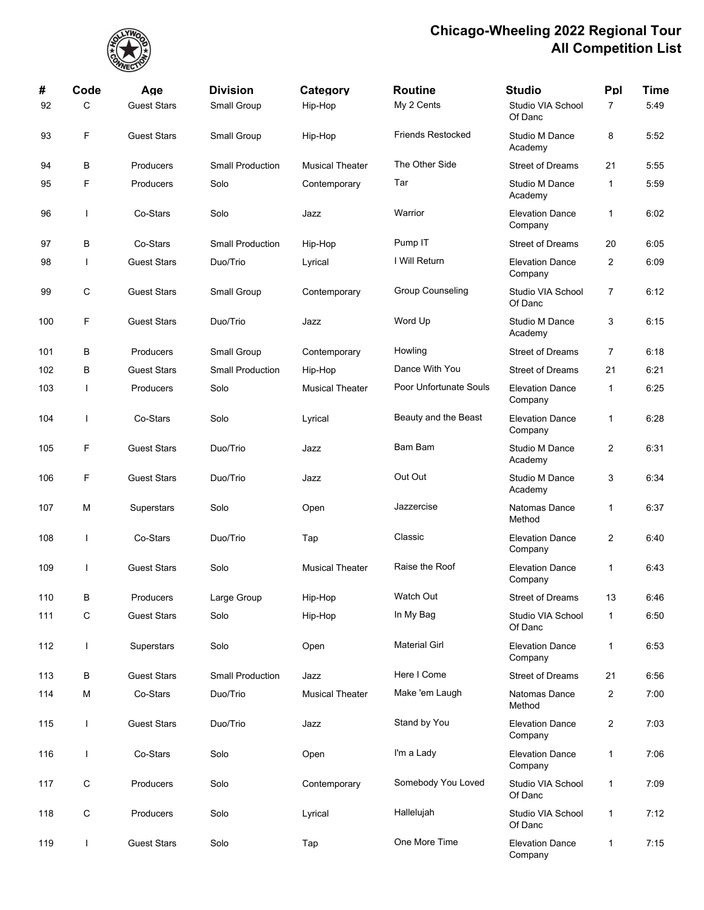

| #   | Code        | Age                | <b>Division</b>         | Category               | <b>Routine</b>           | <b>Studio</b>                     | Ppl            | <b>Time</b> |
|-----|-------------|--------------------|-------------------------|------------------------|--------------------------|-----------------------------------|----------------|-------------|
| 92  | C           | <b>Guest Stars</b> | Small Group             | Hip-Hop                | My 2 Cents               | Studio VIA School<br>Of Danc      | $\overline{7}$ | 5:49        |
| 93  | F           | <b>Guest Stars</b> | Small Group             | Hip-Hop                | <b>Friends Restocked</b> | Studio M Dance<br>Academy         | 8              | 5:52        |
| 94  | В           | Producers          | <b>Small Production</b> | <b>Musical Theater</b> | The Other Side           | <b>Street of Dreams</b>           | 21             | 5:55        |
| 95  | F           | Producers          | Solo                    | Contemporary           | Tar                      | Studio M Dance<br>Academy         | 1              | 5:59        |
| 96  |             | Co-Stars           | Solo                    | Jazz                   | Warrior                  | <b>Elevation Dance</b><br>Company | 1              | 6:02        |
| 97  | В           | Co-Stars           | <b>Small Production</b> | Hip-Hop                | Pump IT                  | <b>Street of Dreams</b>           | 20             | 6:05        |
| 98  |             | <b>Guest Stars</b> | Duo/Trio                | Lyrical                | I Will Return            | <b>Elevation Dance</b><br>Company | 2              | 6:09        |
| 99  | C           | <b>Guest Stars</b> | Small Group             | Contemporary           | <b>Group Counseling</b>  | Studio VIA School<br>Of Danc      | 7              | 6:12        |
| 100 | F           | <b>Guest Stars</b> | Duo/Trio                | Jazz                   | Word Up                  | Studio M Dance<br>Academy         | 3              | 6:15        |
| 101 | В           | Producers          | Small Group             | Contemporary           | Howling                  | <b>Street of Dreams</b>           | 7              | 6:18        |
| 102 | В           | <b>Guest Stars</b> | <b>Small Production</b> | Hip-Hop                | Dance With You           | <b>Street of Dreams</b>           | 21             | 6:21        |
| 103 | ı           | <b>Producers</b>   | Solo                    | <b>Musical Theater</b> | Poor Unfortunate Souls   | <b>Elevation Dance</b><br>Company | 1              | 6:25        |
| 104 |             | Co-Stars           | Solo                    | Lyrical                | Beauty and the Beast     | <b>Elevation Dance</b><br>Company | 1              | 6:28        |
| 105 | F           | <b>Guest Stars</b> | Duo/Trio                | Jazz                   | Bam Bam                  | Studio M Dance<br>Academy         | 2              | 6:31        |
| 106 | F           | <b>Guest Stars</b> | Duo/Trio                | Jazz                   | Out Out                  | Studio M Dance<br>Academy         | 3              | 6:34        |
| 107 | М           | Superstars         | Solo                    | Open                   | Jazzercise               | <b>Natomas Dance</b><br>Method    | 1              | 6:37        |
| 108 |             | Co-Stars           | Duo/Trio                | Tap                    | Classic                  | <b>Elevation Dance</b><br>Company | 2              | 6:40        |
| 109 |             | <b>Guest Stars</b> | Solo                    | <b>Musical Theater</b> | Raise the Roof           | <b>Elevation Dance</b><br>Company | $\mathbf{1}$   | 6.43        |
| 110 | В           | Producers          | Large Group             | Hip-Hop                | Watch Out                | <b>Street of Dreams</b>           | 13             | 6:46        |
| 111 | $\mathsf C$ | <b>Guest Stars</b> | Solo                    | Hip-Hop                | In My Bag                | Studio VIA School<br>Of Danc      | 1              | 6:50        |
| 112 | L           | Superstars         | Solo                    | Open                   | <b>Material Girl</b>     | <b>Elevation Dance</b><br>Company | 1              | 6:53        |
| 113 | В           | <b>Guest Stars</b> | <b>Small Production</b> | Jazz                   | Here I Come              | <b>Street of Dreams</b>           | 21             | 6:56        |
| 114 | M           | Co-Stars           | Duo/Trio                | <b>Musical Theater</b> | Make 'em Laugh           | Natomas Dance<br>Method           | 2              | 7:00        |
| 115 | L           | <b>Guest Stars</b> | Duo/Trio                | Jazz                   | Stand by You             | <b>Elevation Dance</b><br>Company | 2              | 7:03        |
| 116 | ı           | Co-Stars           | Solo                    | Open                   | I'm a Lady               | <b>Elevation Dance</b><br>Company | 1              | 7:06        |
| 117 | C           | Producers          | Solo                    | Contemporary           | Somebody You Loved       | Studio VIA School<br>Of Danc      | 1              | 7:09        |
| 118 | C           | Producers          | Solo                    | Lyrical                | Hallelujah               | Studio VIA School<br>Of Danc      | 1              | 7:12        |
| 119 | ı           | <b>Guest Stars</b> | Solo                    | Tap                    | One More Time            | <b>Elevation Dance</b><br>Company | 1              | 7:15        |